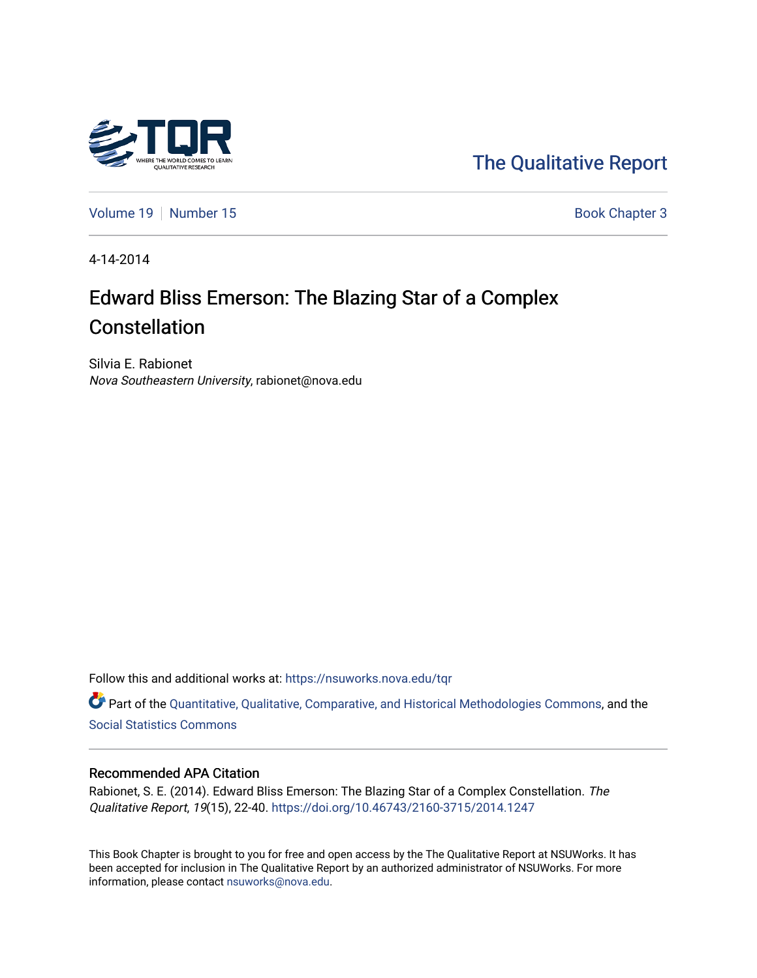

[The Qualitative Report](https://nsuworks.nova.edu/tqr) 

[Volume 19](https://nsuworks.nova.edu/tqr/vol19) [Number 15](https://nsuworks.nova.edu/tqr/vol19/iss15) Book Chapter 3

4-14-2014

# Edward Bliss Emerson: The Blazing Star of a Complex **Constellation**

Silvia E. Rabionet Nova Southeastern University, rabionet@nova.edu

Follow this and additional works at: [https://nsuworks.nova.edu/tqr](https://nsuworks.nova.edu/tqr?utm_source=nsuworks.nova.edu%2Ftqr%2Fvol19%2Fiss15%2F3&utm_medium=PDF&utm_campaign=PDFCoverPages) 

Part of the [Quantitative, Qualitative, Comparative, and Historical Methodologies Commons,](http://network.bepress.com/hgg/discipline/423?utm_source=nsuworks.nova.edu%2Ftqr%2Fvol19%2Fiss15%2F3&utm_medium=PDF&utm_campaign=PDFCoverPages) and the [Social Statistics Commons](http://network.bepress.com/hgg/discipline/1275?utm_source=nsuworks.nova.edu%2Ftqr%2Fvol19%2Fiss15%2F3&utm_medium=PDF&utm_campaign=PDFCoverPages) 

#### Recommended APA Citation

Rabionet, S. E. (2014). Edward Bliss Emerson: The Blazing Star of a Complex Constellation. The Qualitative Report, 19(15), 22-40. <https://doi.org/10.46743/2160-3715/2014.1247>

This Book Chapter is brought to you for free and open access by the The Qualitative Report at NSUWorks. It has been accepted for inclusion in The Qualitative Report by an authorized administrator of NSUWorks. For more information, please contact [nsuworks@nova.edu.](mailto:nsuworks@nova.edu)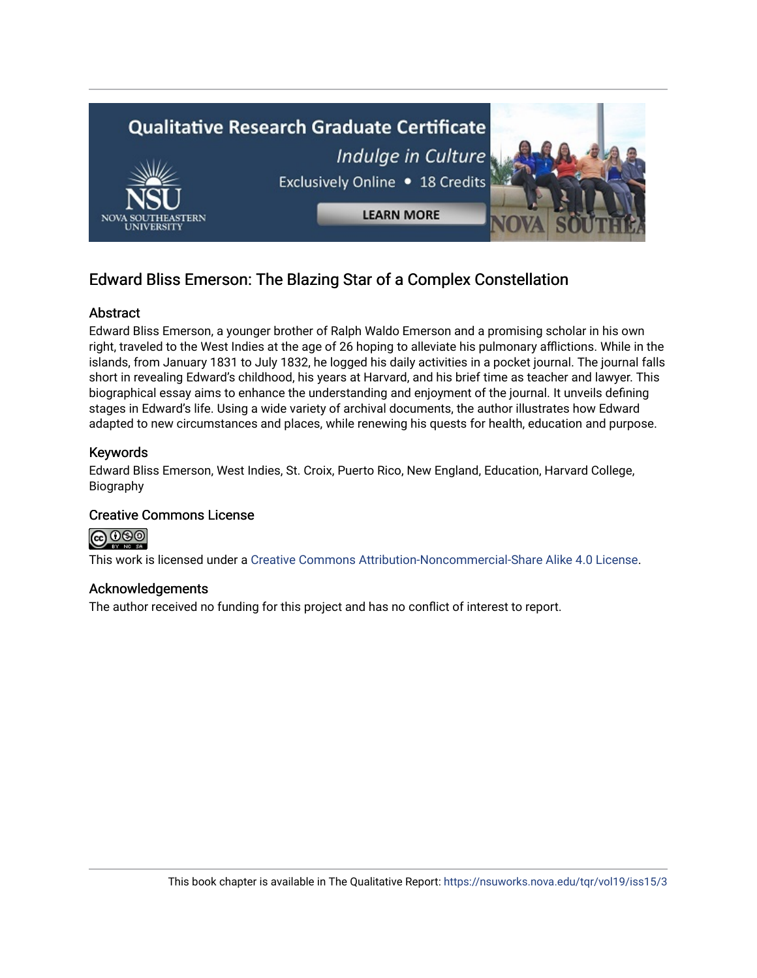

### Edward Bliss Emerson: The Blazing Star of a Complex Constellation

#### Abstract

Edward Bliss Emerson, a younger brother of Ralph Waldo Emerson and a promising scholar in his own right, traveled to the West Indies at the age of 26 hoping to alleviate his pulmonary afflictions. While in the islands, from January 1831 to July 1832, he logged his daily activities in a pocket journal. The journal falls short in revealing Edward's childhood, his years at Harvard, and his brief time as teacher and lawyer. This biographical essay aims to enhance the understanding and enjoyment of the journal. It unveils defining stages in Edward's life. Using a wide variety of archival documents, the author illustrates how Edward adapted to new circumstances and places, while renewing his quests for health, education and purpose.

#### Keywords

Edward Bliss Emerson, West Indies, St. Croix, Puerto Rico, New England, Education, Harvard College, Biography

#### Creative Commons License



This work is licensed under a [Creative Commons Attribution-Noncommercial-Share Alike 4.0 License](https://creativecommons.org/licenses/by-nc-sa/4.0/).

#### Acknowledgements

The author received no funding for this project and has no conflict of interest to report.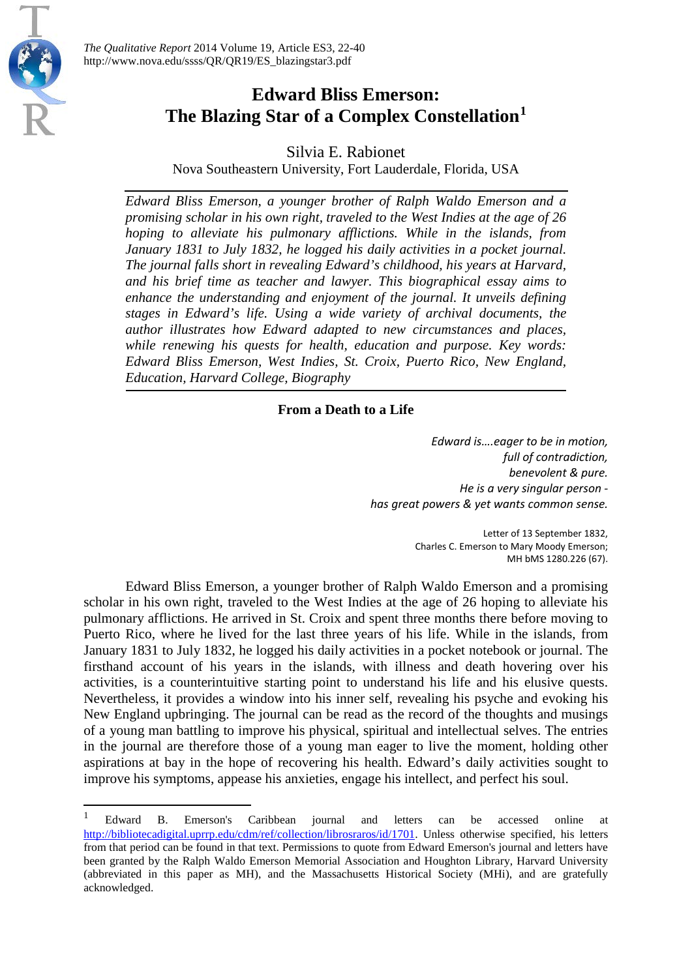

 $\overline{\phantom{a}}$ 

## **Edward Bliss Emerson: The Blazing Star of a Complex Constellation[1](#page-2-0)**

Silvia E. Rabionet

Nova Southeastern University, Fort Lauderdale, Florida, USA

*Edward Bliss Emerson, a younger brother of Ralph Waldo Emerson and a promising scholar in his own right, traveled to the West Indies at the age of 26 hoping to alleviate his pulmonary afflictions. While in the islands, from January 1831 to July 1832, he logged his daily activities in a pocket journal. The journal falls short in revealing Edward's childhood, his years at Harvard, and his brief time as teacher and lawyer. This biographical essay aims to enhance the understanding and enjoyment of the journal. It unveils defining stages in Edward's life. Using a wide variety of archival documents, the author illustrates how Edward adapted to new circumstances and places, while renewing his quests for health, education and purpose. Key words: Edward Bliss Emerson, West Indies, St. Croix, Puerto Rico, New England, Education, Harvard College, Biography*

### **From a Death to a Life**

*Edward is….eager to be in motion, full of contradiction, benevolent & pure. He is a very singular person has great powers & yet wants common sense.*

> Letter of 13 September 1832, Charles C. Emerson to Mary Moody Emerson; MH bMS 1280.226 (67).

Edward Bliss Emerson, a younger brother of Ralph Waldo Emerson and a promising scholar in his own right, traveled to the West Indies at the age of 26 hoping to alleviate his pulmonary afflictions. He arrived in St. Croix and spent three months there before moving to Puerto Rico, where he lived for the last three years of his life. While in the islands, from January 1831 to July 1832, he logged his daily activities in a pocket notebook or journal. The firsthand account of his years in the islands, with illness and death hovering over his activities, is a counterintuitive starting point to understand his life and his elusive quests. Nevertheless, it provides a window into his inner self, revealing his psyche and evoking his New England upbringing. The journal can be read as the record of the thoughts and musings of a young man battling to improve his physical, spiritual and intellectual selves. The entries in the journal are therefore those of a young man eager to live the moment, holding other aspirations at bay in the hope of recovering his health. Edward's daily activities sought to improve his symptoms, appease his anxieties, engage his intellect, and perfect his soul.

<span id="page-2-0"></span><sup>1</sup> Edward B. Emerson's Caribbean journal and letters can be accessed online at [http://bibliotecadigital.uprrp.edu/cdm/ref/collection/librosraros/id/1701.](http://bibliotecadigital.uprrp.edu/cdm/ref/collection/librosraros/id/1701) Unless otherwise specified, his letters from that period can be found in that text. Permissions to quote from Edward Emerson's journal and letters have been granted by the Ralph Waldo Emerson Memorial Association and Houghton Library, Harvard University (abbreviated in this paper as MH), and the Massachusetts Historical Society (MHi), and are gratefully acknowledged.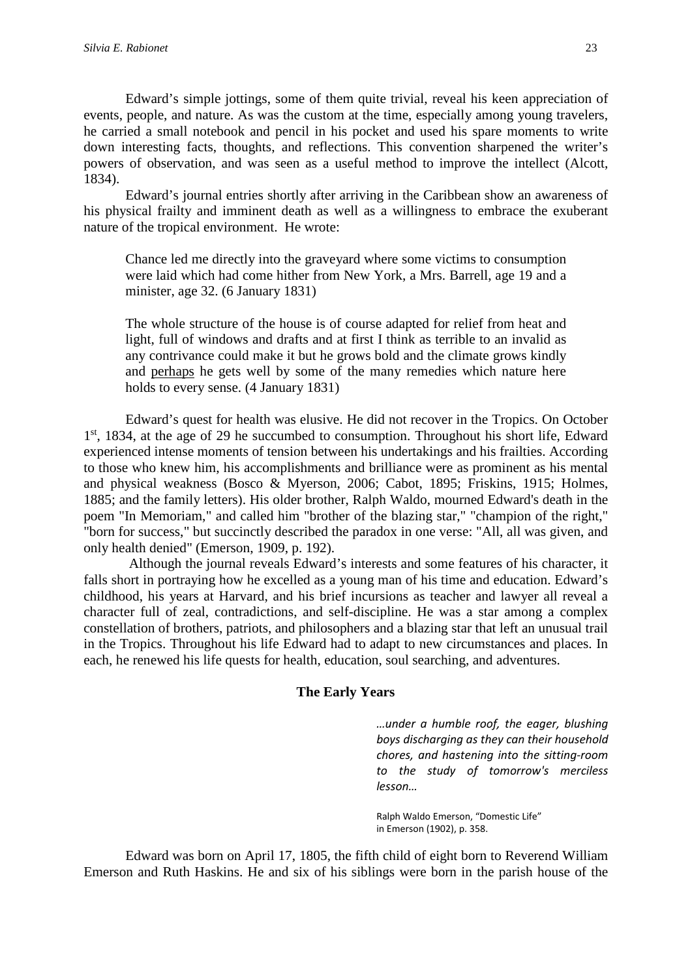Edward's simple jottings, some of them quite trivial, reveal his keen appreciation of events, people, and nature. As was the custom at the time, especially among young travelers, he carried a small notebook and pencil in his pocket and used his spare moments to write down interesting facts, thoughts, and reflections. This convention sharpened the writer's powers of observation, and was seen as a useful method to improve the intellect (Alcott, 1834).

Edward's journal entries shortly after arriving in the Caribbean show an awareness of his physical frailty and imminent death as well as a willingness to embrace the exuberant nature of the tropical environment. He wrote:

Chance led me directly into the graveyard where some victims to consumption were laid which had come hither from New York, a Mrs. Barrell, age 19 and a minister, age 32. (6 January 1831)

The whole structure of the house is of course adapted for relief from heat and light, full of windows and drafts and at first I think as terrible to an invalid as any contrivance could make it but he grows bold and the climate grows kindly and perhaps he gets well by some of the many remedies which nature here holds to every sense. (4 January 1831)

Edward's quest for health was elusive. He did not recover in the Tropics. On October 1<sup>st</sup>, 1834, at the age of 29 he succumbed to consumption. Throughout his short life, Edward experienced intense moments of tension between his undertakings and his frailties. According to those who knew him, his accomplishments and brilliance were as prominent as his mental and physical weakness (Bosco & Myerson, 2006; Cabot, 1895; Friskins, 1915; Holmes, 1885; and the family letters). His older brother, Ralph Waldo, mourned Edward's death in the poem "In Memoriam," and called him "brother of the blazing star," "champion of the right," "born for success," but succinctly described the paradox in one verse: "All, all was given, and only health denied" (Emerson, 1909, p. 192).

Although the journal reveals Edward's interests and some features of his character, it falls short in portraying how he excelled as a young man of his time and education. Edward's childhood, his years at Harvard, and his brief incursions as teacher and lawyer all reveal a character full of zeal, contradictions, and self-discipline. He was a star among a complex constellation of brothers, patriots, and philosophers and a blazing star that left an unusual trail in the Tropics. Throughout his life Edward had to adapt to new circumstances and places. In each, he renewed his life quests for health, education, soul searching, and adventures.

#### **The Early Years**

*…under a humble roof, the eager, blushing boys discharging as they can their household chores, and hastening into the sitting-room to the study of tomorrow's merciless lesson…*

Ralph Waldo Emerson, "Domestic Life" in Emerson (1902), p. 358.

Edward was born on April 17, 1805, the fifth child of eight born to Reverend William Emerson and Ruth Haskins. He and six of his siblings were born in the parish house of the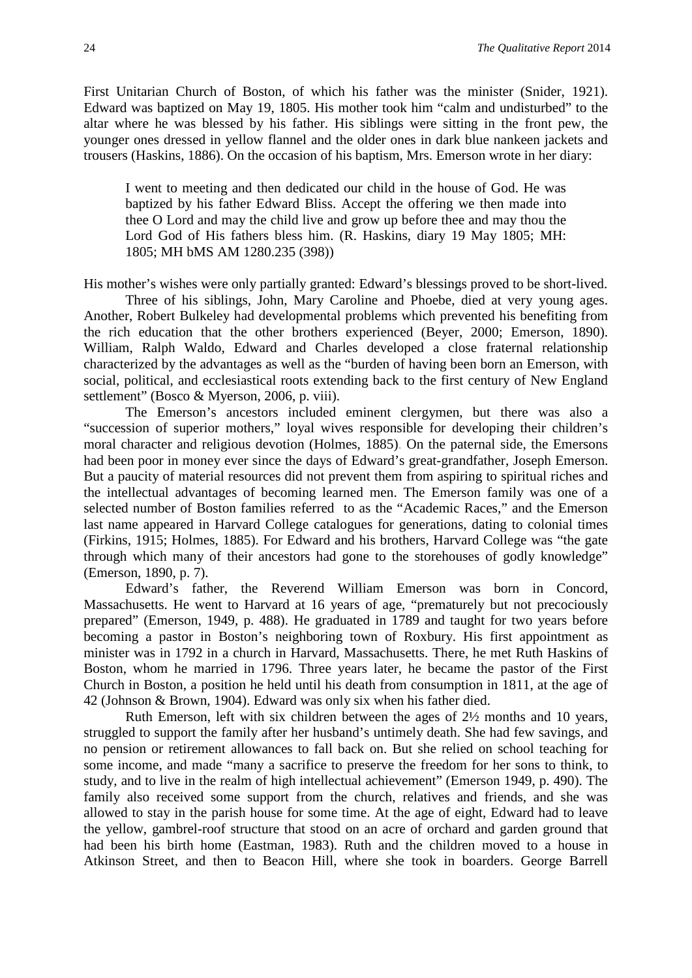First Unitarian Church of Boston, of which his father was the minister (Snider, 1921). Edward was baptized on May 19, 1805. His mother took him "calm and undisturbed" to the altar where he was blessed by his father. His siblings were sitting in the front pew, the younger ones dressed in yellow flannel and the older ones in dark blue nankeen jackets and trousers (Haskins, 1886). On the occasion of his baptism, Mrs. Emerson wrote in her diary:

I went to meeting and then dedicated our child in the house of God. He was baptized by his father Edward Bliss. Accept the offering we then made into thee O Lord and may the child live and grow up before thee and may thou the Lord God of His fathers bless him. (R. Haskins, diary 19 May 1805; MH: 1805; MH bMS AM 1280.235 (398))

His mother's wishes were only partially granted: Edward's blessings proved to be short-lived.

Three of his siblings, John, Mary Caroline and Phoebe, died at very young ages. Another, Robert Bulkeley had developmental problems which prevented his benefiting from the rich education that the other brothers experienced (Beyer, 2000; Emerson, 1890). William, Ralph Waldo, Edward and Charles developed a close fraternal relationship characterized by the advantages as well as the "burden of having been born an Emerson, with social, political, and ecclesiastical roots extending back to the first century of New England settlement" (Bosco & Myerson, 2006, p. viii).

The Emerson's ancestors included eminent clergymen, but there was also a "succession of superior mothers," loyal wives responsible for developing their children's moral character and religious devotion (Holmes, 1885). On the paternal side, the Emersons had been poor in money ever since the days of Edward's great-grandfather, Joseph Emerson. But a paucity of material resources did not prevent them from aspiring to spiritual riches and the intellectual advantages of becoming learned men. The Emerson family was one of a selected number of Boston families referred to as the "Academic Races," and the Emerson last name appeared in Harvard College catalogues for generations, dating to colonial times (Firkins, 1915; Holmes, 1885). For Edward and his brothers, Harvard College was "the gate through which many of their ancestors had gone to the storehouses of godly knowledge" (Emerson, 1890, p. 7).

Edward's father, the Reverend William Emerson was born in Concord, Massachusetts. He went to Harvard at 16 years of age, "prematurely but not precociously prepared" (Emerson, 1949, p. 488). He graduated in 1789 and taught for two years before becoming a pastor in Boston's neighboring town of Roxbury. His first appointment as minister was in 1792 in a church in Harvard, Massachusetts. There, he met Ruth Haskins of Boston, whom he married in 1796. Three years later, he became the pastor of the First Church in Boston, a position he held until his death from consumption in 1811, at the age of 42 (Johnson & Brown, 1904). Edward was only six when his father died.

Ruth Emerson, left with six children between the ages of 2½ months and 10 years, struggled to support the family after her husband's untimely death. She had few savings, and no pension or retirement allowances to fall back on. But she relied on school teaching for some income, and made "many a sacrifice to preserve the freedom for her sons to think, to study, and to live in the realm of high intellectual achievement" (Emerson 1949, p. 490). The family also received some support from the church, relatives and friends, and she was allowed to stay in the parish house for some time. At the age of eight, Edward had to leave the yellow, gambrel-roof structure that stood on an acre of orchard and garden ground that had been his birth home (Eastman, 1983). Ruth and the children moved to a house in Atkinson Street, and then to Beacon Hill, where she took in boarders. George Barrell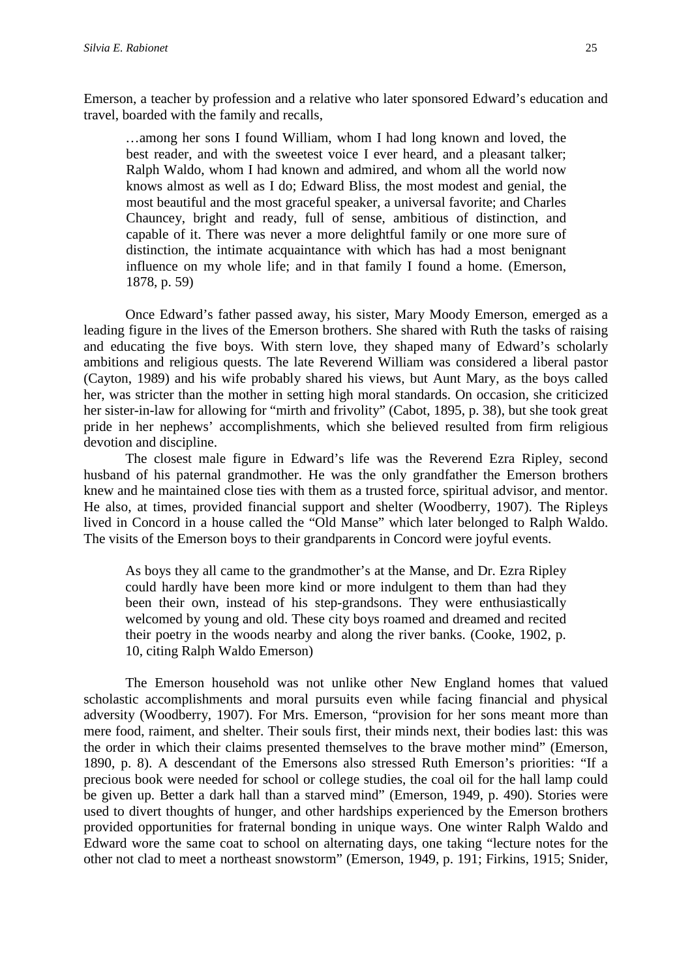Emerson, a teacher by profession and a relative who later sponsored Edward's education and travel, boarded with the family and recalls,

…among her sons I found William, whom I had long known and loved, the best reader, and with the sweetest voice I ever heard, and a pleasant talker; Ralph Waldo, whom I had known and admired, and whom all the world now knows almost as well as I do; Edward Bliss, the most modest and genial, the most beautiful and the most graceful speaker, a universal favorite; and Charles Chauncey, bright and ready, full of sense, ambitious of distinction, and capable of it. There was never a more delightful family or one more sure of distinction, the intimate acquaintance with which has had a most benignant influence on my whole life; and in that family I found a home. (Emerson, 1878, p. 59)

Once Edward's father passed away, his sister, Mary Moody Emerson, emerged as a leading figure in the lives of the Emerson brothers. She shared with Ruth the tasks of raising and educating the five boys. With stern love, they shaped many of Edward's scholarly ambitions and religious quests. The late Reverend William was considered a liberal pastor (Cayton, 1989) and his wife probably shared his views, but Aunt Mary, as the boys called her, was stricter than the mother in setting high moral standards. On occasion, she criticized her sister-in-law for allowing for "mirth and frivolity" (Cabot, 1895, p. 38), but she took great pride in her nephews' accomplishments, which she believed resulted from firm religious devotion and discipline.

The closest male figure in Edward's life was the Reverend Ezra Ripley, second husband of his paternal grandmother. He was the only grandfather the Emerson brothers knew and he maintained close ties with them as a trusted force, spiritual advisor, and mentor. He also, at times, provided financial support and shelter (Woodberry, 1907). The Ripleys lived in Concord in a house called the "Old Manse" which later belonged to Ralph Waldo. The visits of the Emerson boys to their grandparents in Concord were joyful events.

As boys they all came to the grandmother's at the Manse, and Dr. Ezra Ripley could hardly have been more kind or more indulgent to them than had they been their own, instead of his step-grandsons. They were enthusiastically welcomed by young and old. These city boys roamed and dreamed and recited their poetry in the woods nearby and along the river banks. (Cooke, 1902, p. 10, citing Ralph Waldo Emerson)

The Emerson household was not unlike other New England homes that valued scholastic accomplishments and moral pursuits even while facing financial and physical adversity (Woodberry, 1907). For Mrs. Emerson, "provision for her sons meant more than mere food, raiment, and shelter. Their souls first, their minds next, their bodies last: this was the order in which their claims presented themselves to the brave mother mind" (Emerson, 1890, p. 8). A descendant of the Emersons also stressed Ruth Emerson's priorities: "If a precious book were needed for school or college studies, the coal oil for the hall lamp could be given up. Better a dark hall than a starved mind" (Emerson, 1949, p. 490). Stories were used to divert thoughts of hunger, and other hardships experienced by the Emerson brothers provided opportunities for fraternal bonding in unique ways. One winter Ralph Waldo and Edward wore the same coat to school on alternating days, one taking "lecture notes for the other not clad to meet a northeast snowstorm" (Emerson, 1949, p. 191; Firkins, 1915; Snider,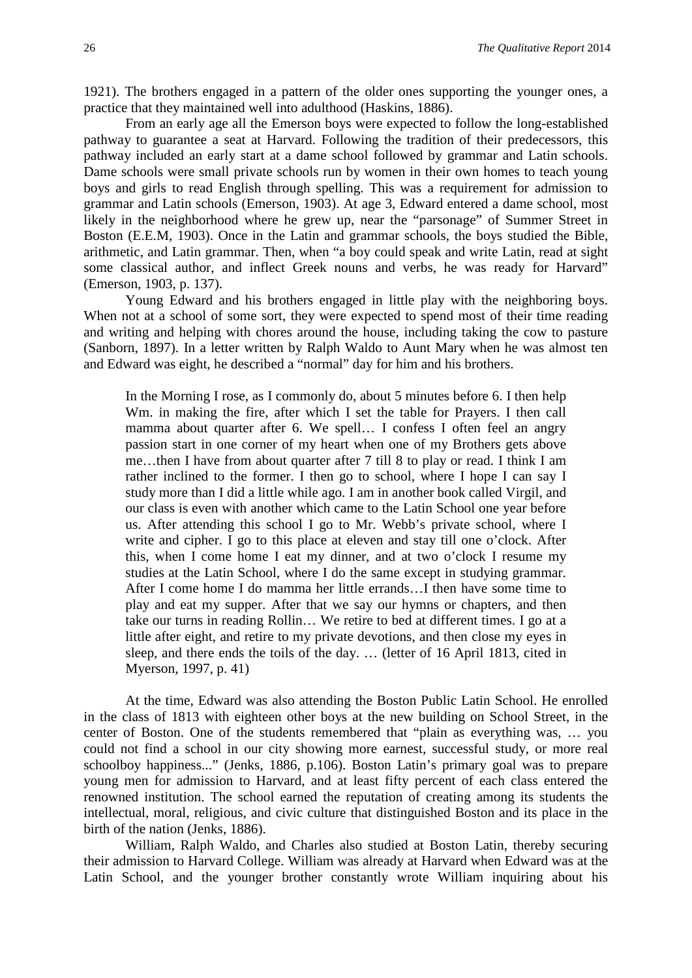1921). The brothers engaged in a pattern of the older ones supporting the younger ones, a practice that they maintained well into adulthood (Haskins, 1886).

From an early age all the Emerson boys were expected to follow the long-established pathway to guarantee a seat at Harvard. Following the tradition of their predecessors, this pathway included an early start at a dame school followed by grammar and Latin schools. Dame schools were small private schools run by women in their own homes to teach young boys and girls to read English through spelling. This was a requirement for admission to grammar and Latin schools (Emerson, 1903). At age 3, Edward entered a dame school, most likely in the neighborhood where he grew up, near the "parsonage" of Summer Street in Boston (E.E.M, 1903). Once in the Latin and grammar schools, the boys studied the Bible, arithmetic, and Latin grammar. Then, when "a boy could speak and write Latin, read at sight some classical author, and inflect Greek nouns and verbs, he was ready for Harvard" (Emerson, 1903, p. 137).

Young Edward and his brothers engaged in little play with the neighboring boys. When not at a school of some sort, they were expected to spend most of their time reading and writing and helping with chores around the house, including taking the cow to pasture (Sanborn, 1897). In a letter written by Ralph Waldo to Aunt Mary when he was almost ten and Edward was eight, he described a "normal" day for him and his brothers.

In the Morning I rose, as I commonly do, about 5 minutes before 6. I then help Wm. in making the fire, after which I set the table for Prayers. I then call mamma about quarter after 6. We spell… I confess I often feel an angry passion start in one corner of my heart when one of my Brothers gets above me…then I have from about quarter after 7 till 8 to play or read. I think I am rather inclined to the former. I then go to school, where I hope I can say I study more than I did a little while ago. I am in another book called Virgil, and our class is even with another which came to the Latin School one year before us. After attending this school I go to Mr. Webb's private school, where I write and cipher. I go to this place at eleven and stay till one o'clock. After this, when I come home I eat my dinner, and at two o'clock I resume my studies at the Latin School, where I do the same except in studying grammar. After I come home I do mamma her little errands…I then have some time to play and eat my supper. After that we say our hymns or chapters, and then take our turns in reading Rollin… We retire to bed at different times. I go at a little after eight, and retire to my private devotions, and then close my eyes in sleep, and there ends the toils of the day. … (letter of 16 April 1813, cited in Myerson, 1997, p. 41)

At the time, Edward was also attending the Boston Public Latin School. He enrolled in the class of 1813 with eighteen other boys at the new building on School Street, in the center of Boston. One of the students remembered that "plain as everything was, … you could not find a school in our city showing more earnest, successful study, or more real schoolboy happiness..." (Jenks, 1886, p.106). Boston Latin's primary goal was to prepare young men for admission to Harvard, and at least fifty percent of each class entered the renowned institution. The school earned the reputation of creating among its students the intellectual, moral, religious, and civic culture that distinguished Boston and its place in the birth of the nation (Jenks, 1886).

William, Ralph Waldo, and Charles also studied at Boston Latin, thereby securing their admission to Harvard College. William was already at Harvard when Edward was at the Latin School, and the younger brother constantly wrote William inquiring about his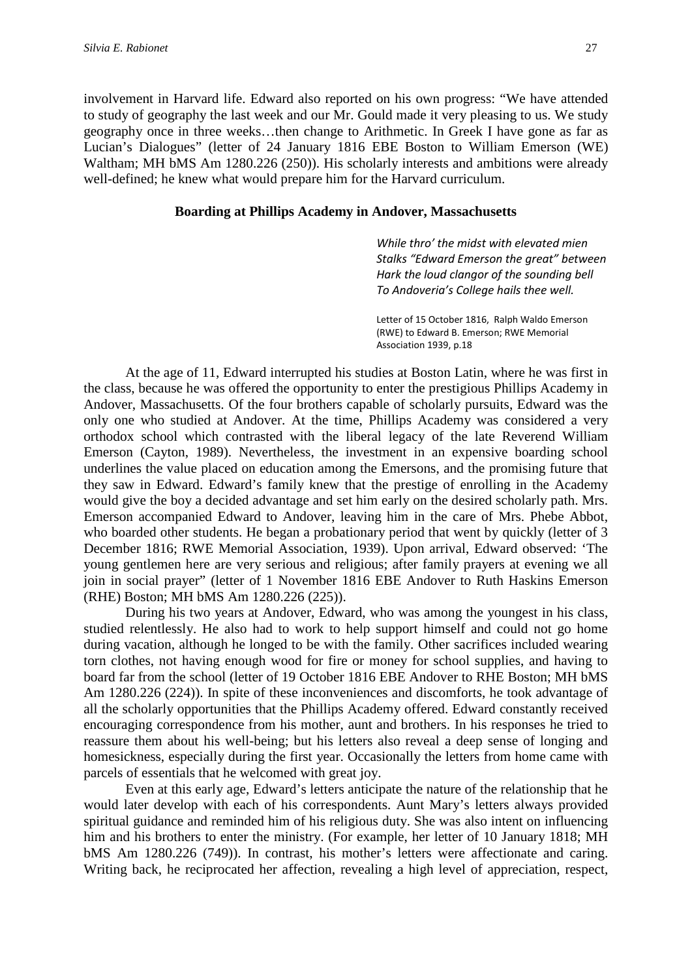involvement in Harvard life. Edward also reported on his own progress: "We have attended to study of geography the last week and our Mr. Gould made it very pleasing to us. We study geography once in three weeks…then change to Arithmetic. In Greek I have gone as far as Lucian's Dialogues" (letter of 24 January 1816 EBE Boston to William Emerson (WE) Waltham; MH bMS Am 1280.226 (250)). His scholarly interests and ambitions were already well-defined; he knew what would prepare him for the Harvard curriculum.

#### **Boarding at Phillips Academy in Andover, Massachusetts**

*While thro' the midst with elevated mien Stalks "Edward Emerson the great" between Hark the loud clangor of the sounding bell To Andoveria's College hails thee well.*

Letter of 15 October 1816, Ralph Waldo Emerson (RWE) to Edward B. Emerson; RWE Memorial Association 1939, p.18

At the age of 11, Edward interrupted his studies at Boston Latin, where he was first in the class, because he was offered the opportunity to enter the prestigious Phillips Academy in Andover, Massachusetts. Of the four brothers capable of scholarly pursuits, Edward was the only one who studied at Andover. At the time, Phillips Academy was considered a very orthodox school which contrasted with the liberal legacy of the late Reverend William Emerson (Cayton, 1989). Nevertheless, the investment in an expensive boarding school underlines the value placed on education among the Emersons, and the promising future that they saw in Edward. Edward's family knew that the prestige of enrolling in the Academy would give the boy a decided advantage and set him early on the desired scholarly path. Mrs. Emerson accompanied Edward to Andover, leaving him in the care of Mrs. Phebe Abbot, who boarded other students. He began a probationary period that went by quickly (letter of 3 December 1816; RWE Memorial Association, 1939). Upon arrival, Edward observed: 'The young gentlemen here are very serious and religious; after family prayers at evening we all join in social prayer" (letter of 1 November 1816 EBE Andover to Ruth Haskins Emerson (RHE) Boston; MH bMS Am 1280.226 (225)).

During his two years at Andover, Edward, who was among the youngest in his class, studied relentlessly. He also had to work to help support himself and could not go home during vacation, although he longed to be with the family. Other sacrifices included wearing torn clothes, not having enough wood for fire or money for school supplies, and having to board far from the school (letter of 19 October 1816 EBE Andover to RHE Boston; MH bMS Am 1280.226 (224)). In spite of these inconveniences and discomforts, he took advantage of all the scholarly opportunities that the Phillips Academy offered. Edward constantly received encouraging correspondence from his mother, aunt and brothers. In his responses he tried to reassure them about his well-being; but his letters also reveal a deep sense of longing and homesickness, especially during the first year. Occasionally the letters from home came with parcels of essentials that he welcomed with great joy.

Even at this early age, Edward's letters anticipate the nature of the relationship that he would later develop with each of his correspondents. Aunt Mary's letters always provided spiritual guidance and reminded him of his religious duty. She was also intent on influencing him and his brothers to enter the ministry. (For example, her letter of 10 January 1818; MH bMS Am 1280.226 (749)). In contrast, his mother's letters were affectionate and caring. Writing back, he reciprocated her affection, revealing a high level of appreciation, respect,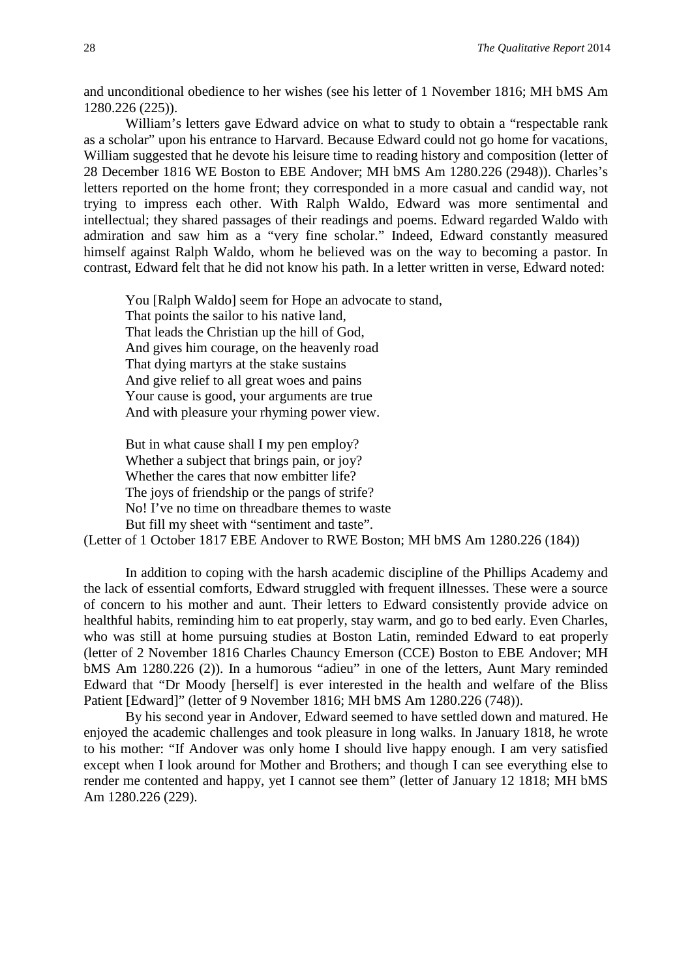and unconditional obedience to her wishes (see his letter of 1 November 1816; MH bMS Am 1280.226 (225)).

William's letters gave Edward advice on what to study to obtain a "respectable rank as a scholar" upon his entrance to Harvard. Because Edward could not go home for vacations, William suggested that he devote his leisure time to reading history and composition (letter of 28 December 1816 WE Boston to EBE Andover; MH bMS Am 1280.226 (2948)). Charles's letters reported on the home front; they corresponded in a more casual and candid way, not trying to impress each other. With Ralph Waldo, Edward was more sentimental and intellectual; they shared passages of their readings and poems. Edward regarded Waldo with admiration and saw him as a "very fine scholar." Indeed, Edward constantly measured himself against Ralph Waldo, whom he believed was on the way to becoming a pastor. In contrast, Edward felt that he did not know his path. In a letter written in verse, Edward noted:

You [Ralph Waldo] seem for Hope an advocate to stand, That points the sailor to his native land, That leads the Christian up the hill of God, And gives him courage, on the heavenly road That dying martyrs at the stake sustains And give relief to all great woes and pains Your cause is good, your arguments are true And with pleasure your rhyming power view.

But in what cause shall I my pen employ? Whether a subject that brings pain, or joy? Whether the cares that now embitter life? The joys of friendship or the pangs of strife? No! I've no time on threadbare themes to waste But fill my sheet with "sentiment and taste".

(Letter of 1 October 1817 EBE Andover to RWE Boston; MH bMS Am 1280.226 (184))

In addition to coping with the harsh academic discipline of the Phillips Academy and the lack of essential comforts, Edward struggled with frequent illnesses. These were a source of concern to his mother and aunt. Their letters to Edward consistently provide advice on healthful habits, reminding him to eat properly, stay warm, and go to bed early. Even Charles, who was still at home pursuing studies at Boston Latin, reminded Edward to eat properly (letter of 2 November 1816 Charles Chauncy Emerson (CCE) Boston to EBE Andover; MH bMS Am 1280.226 (2)). In a humorous "adieu" in one of the letters, Aunt Mary reminded Edward that "Dr Moody [herself] is ever interested in the health and welfare of the Bliss Patient [Edward]" (letter of 9 November 1816; MH bMS Am 1280.226 (748)).

By his second year in Andover, Edward seemed to have settled down and matured. He enjoyed the academic challenges and took pleasure in long walks. In January 1818, he wrote to his mother: "If Andover was only home I should live happy enough. I am very satisfied except when I look around for Mother and Brothers; and though I can see everything else to render me contented and happy, yet I cannot see them" (letter of January 12 1818; MH bMS Am 1280.226 (229).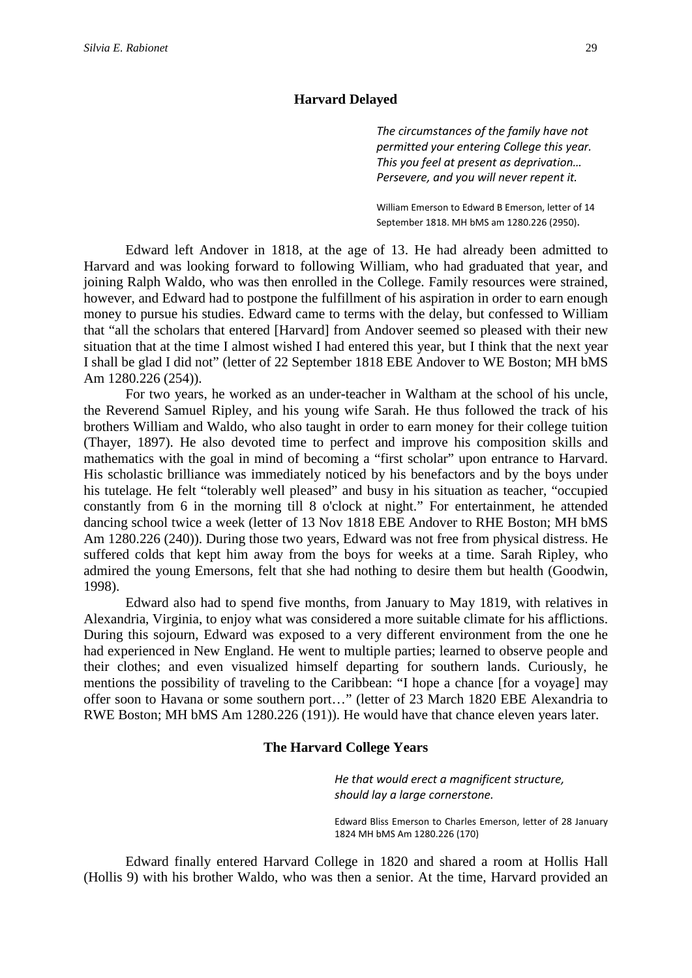#### **Harvard Delayed**

*The circumstances of the family have not permitted your entering College this year. This you feel at present as deprivation… Persevere, and you will never repent it.*

William Emerson to Edward B Emerson, letter of 14 September 1818. MH bMS am 1280.226 (2950).

Edward left Andover in 1818, at the age of 13. He had already been admitted to Harvard and was looking forward to following William, who had graduated that year, and joining Ralph Waldo, who was then enrolled in the College. Family resources were strained, however, and Edward had to postpone the fulfillment of his aspiration in order to earn enough money to pursue his studies. Edward came to terms with the delay, but confessed to William that "all the scholars that entered [Harvard] from Andover seemed so pleased with their new situation that at the time I almost wished I had entered this year, but I think that the next year I shall be glad I did not" (letter of 22 September 1818 EBE Andover to WE Boston; MH bMS Am 1280.226 (254)).

For two years, he worked as an under-teacher in Waltham at the school of his uncle, the Reverend Samuel Ripley, and his young wife Sarah. He thus followed the track of his brothers William and Waldo, who also taught in order to earn money for their college tuition (Thayer, 1897). He also devoted time to perfect and improve his composition skills and mathematics with the goal in mind of becoming a "first scholar" upon entrance to Harvard. His scholastic brilliance was immediately noticed by his benefactors and by the boys under his tutelage. He felt "tolerably well pleased" and busy in his situation as teacher, "occupied constantly from 6 in the morning till 8 o'clock at night." For entertainment, he attended dancing school twice a week (letter of 13 Nov 1818 EBE Andover to RHE Boston; MH bMS Am 1280.226 (240)). During those two years, Edward was not free from physical distress. He suffered colds that kept him away from the boys for weeks at a time. Sarah Ripley, who admired the young Emersons, felt that she had nothing to desire them but health (Goodwin, 1998).

Edward also had to spend five months, from January to May 1819, with relatives in Alexandria, Virginia, to enjoy what was considered a more suitable climate for his afflictions. During this sojourn, Edward was exposed to a very different environment from the one he had experienced in New England. He went to multiple parties; learned to observe people and their clothes; and even visualized himself departing for southern lands. Curiously, he mentions the possibility of traveling to the Caribbean: "I hope a chance [for a voyage] may offer soon to Havana or some southern port…" (letter of 23 March 1820 EBE Alexandria to RWE Boston; MH bMS Am 1280.226 (191)). He would have that chance eleven years later.

#### **The Harvard College Years**

*He that would erect a magnificent structure, should lay a large cornerstone.*

Edward Bliss Emerson to Charles Emerson, letter of 28 January 1824 MH bMS Am 1280.226 (170)

Edward finally entered Harvard College in 1820 and shared a room at Hollis Hall (Hollis 9) with his brother Waldo, who was then a senior. At the time, Harvard provided an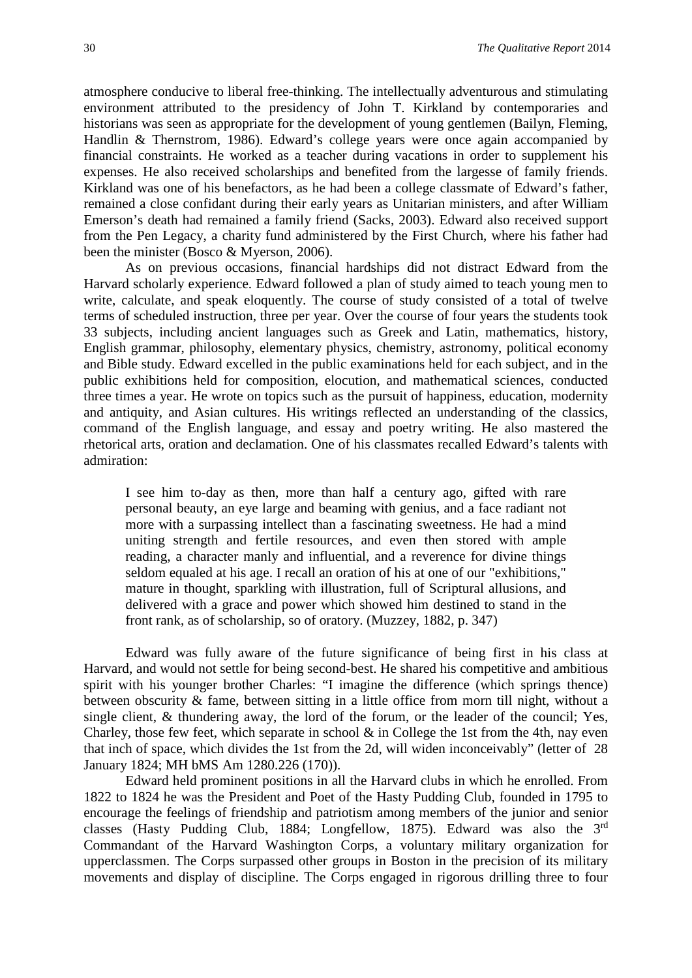atmosphere conducive to liberal free-thinking. The intellectually adventurous and stimulating environment attributed to the presidency of John T. Kirkland by contemporaries and historians was seen as appropriate for the development of young gentlemen (Bailyn, Fleming, Handlin & Thernstrom, 1986). Edward's college years were once again accompanied by financial constraints. He worked as a teacher during vacations in order to supplement his expenses. He also received scholarships and benefited from the largesse of family friends. Kirkland was one of his benefactors, as he had been a college classmate of Edward's father, remained a close confidant during their early years as Unitarian ministers, and after William Emerson's death had remained a family friend (Sacks, 2003). Edward also received support from the Pen Legacy, a charity fund administered by the First Church, where his father had been the minister (Bosco & Myerson, 2006).

As on previous occasions, financial hardships did not distract Edward from the Harvard scholarly experience. Edward followed a plan of study aimed to teach young men to write, calculate, and speak eloquently. The course of study consisted of a total of twelve terms of scheduled instruction, three per year. Over the course of four years the students took 33 subjects, including ancient languages such as Greek and Latin, mathematics, history, English grammar, philosophy, elementary physics, chemistry, astronomy, political economy and Bible study. Edward excelled in the public examinations held for each subject, and in the public exhibitions held for composition, elocution, and mathematical sciences, conducted three times a year. He wrote on topics such as the pursuit of happiness, education, modernity and antiquity, and Asian cultures. His writings reflected an understanding of the classics, command of the English language, and essay and poetry writing. He also mastered the rhetorical arts, oration and declamation. One of his classmates recalled Edward's talents with admiration:

I see him to-day as then, more than half a century ago, gifted with rare personal beauty, an eye large and beaming with genius, and a face radiant not more with a surpassing intellect than a fascinating sweetness. He had a mind uniting strength and fertile resources, and even then stored with ample reading, a character manly and influential, and a reverence for divine things seldom equaled at his age. I recall an oration of his at one of our "exhibitions," mature in thought, sparkling with illustration, full of Scriptural allusions, and delivered with a grace and power which showed him destined to stand in the front rank, as of scholarship, so of oratory. (Muzzey, 1882, p. 347)

Edward was fully aware of the future significance of being first in his class at Harvard, and would not settle for being second-best. He shared his competitive and ambitious spirit with his younger brother Charles: "I imagine the difference (which springs thence) between obscurity & fame, between sitting in a little office from morn till night, without a single client, & thundering away, the lord of the forum, or the leader of the council; Yes, Charley, those few feet, which separate in school  $\&$  in College the 1st from the 4th, nay even that inch of space, which divides the 1st from the 2d, will widen inconceivably" (letter of 28 January 1824; MH bMS Am 1280.226 (170)).

Edward held prominent positions in all the Harvard clubs in which he enrolled. From 1822 to 1824 he was the President and Poet of the Hasty Pudding Club, founded in 1795 to encourage the feelings of friendship and patriotism among members of the junior and senior classes (Hasty Pudding Club, 1884; Longfellow, 1875). Edward was also the 3rd Commandant of the Harvard Washington Corps, a voluntary military organization for upperclassmen. The Corps surpassed other groups in Boston in the precision of its military movements and display of discipline. The Corps engaged in rigorous drilling three to four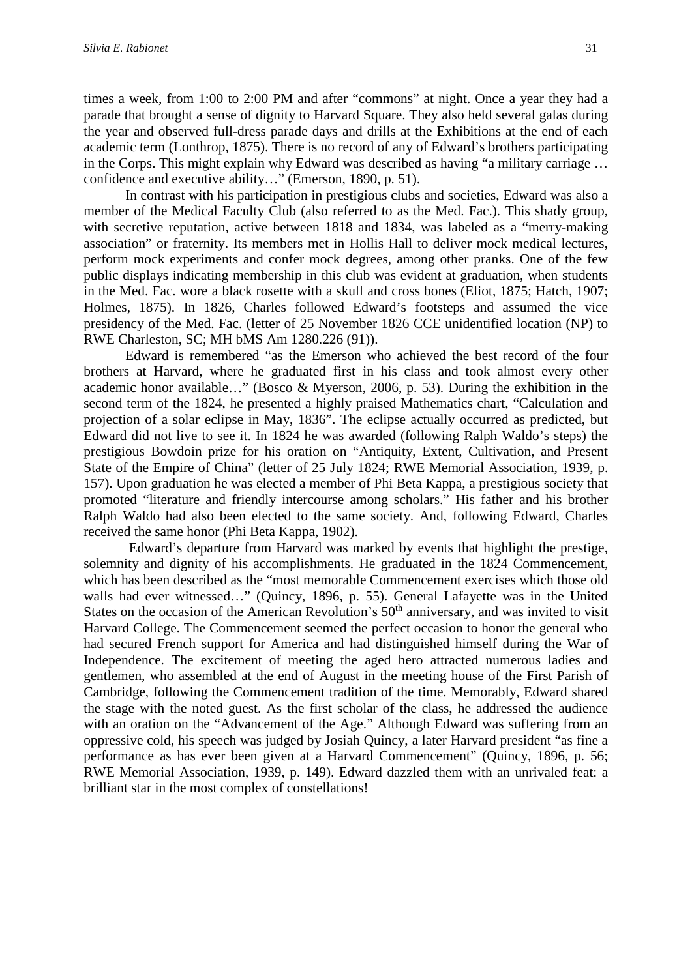times a week, from 1:00 to 2:00 PM and after "commons" at night. Once a year they had a parade that brought a sense of dignity to Harvard Square. They also held several galas during the year and observed full-dress parade days and drills at the Exhibitions at the end of each academic term (Lonthrop, 1875). There is no record of any of Edward's brothers participating in the Corps. This might explain why Edward was described as having "a military carriage … confidence and executive ability…" (Emerson, 1890, p. 51).

In contrast with his participation in prestigious clubs and societies, Edward was also a member of the Medical Faculty Club (also referred to as the Med. Fac.). This shady group, with secretive reputation, active between 1818 and 1834, was labeled as a "merry-making" association" or fraternity. Its members met in Hollis Hall to deliver mock medical lectures, perform mock experiments and confer mock degrees, among other pranks. One of the few public displays indicating membership in this club was evident at graduation, when students in the Med. Fac. wore a black rosette with a skull and cross bones (Eliot, 1875; Hatch, 1907; Holmes, 1875). In 1826, Charles followed Edward's footsteps and assumed the vice presidency of the Med. Fac. (letter of 25 November 1826 CCE unidentified location (NP) to RWE Charleston, SC; MH bMS Am 1280.226 (91)).

Edward is remembered "as the Emerson who achieved the best record of the four brothers at Harvard, where he graduated first in his class and took almost every other academic honor available…" (Bosco & Myerson, 2006, p. 53). During the exhibition in the second term of the 1824, he presented a highly praised Mathematics chart, "Calculation and projection of a solar eclipse in May, 1836". The eclipse actually occurred as predicted, but Edward did not live to see it. In 1824 he was awarded (following Ralph Waldo's steps) the prestigious Bowdoin prize for his oration on "Antiquity, Extent, Cultivation, and Present State of the Empire of China" (letter of 25 July 1824; RWE Memorial Association, 1939, p. 157). Upon graduation he was elected a member of Phi Beta Kappa, a prestigious society that promoted "literature and friendly intercourse among scholars." His father and his brother Ralph Waldo had also been elected to the same society. And, following Edward, Charles received the same honor (Phi Beta Kappa, 1902).

Edward's departure from Harvard was marked by events that highlight the prestige, solemnity and dignity of his accomplishments. He graduated in the 1824 Commencement, which has been described as the "most memorable Commencement exercises which those old walls had ever witnessed…" (Quincy, 1896, p. 55). General Lafayette was in the United States on the occasion of the American Revolution's 50<sup>th</sup> anniversary, and was invited to visit Harvard College. The Commencement seemed the perfect occasion to honor the general who had secured French support for America and had distinguished himself during the War of Independence. The excitement of meeting the aged hero attracted numerous ladies and gentlemen, who assembled at the end of August in the meeting house of the First Parish of Cambridge, following the Commencement tradition of the time. Memorably, Edward shared the stage with the noted guest. As the first scholar of the class, he addressed the audience with an oration on the "Advancement of the Age." Although Edward was suffering from an oppressive cold, his speech was judged by Josiah Quincy, a later Harvard president "as fine a performance as has ever been given at a Harvard Commencement" (Quincy, 1896, p. 56; RWE Memorial Association, 1939, p. 149). Edward dazzled them with an unrivaled feat: a brilliant star in the most complex of constellations!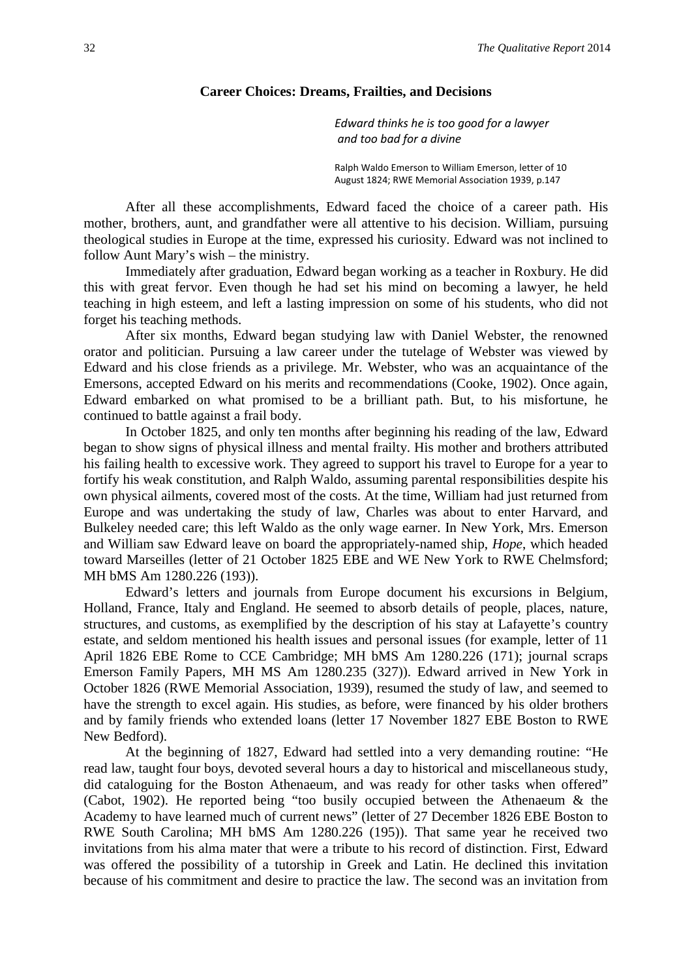#### **Career Choices: Dreams, Frailties, and Decisions**

*Edward thinks he is too good for a lawyer and too bad for a divine*

Ralph Waldo Emerson to William Emerson, letter of 10 August 1824; RWE Memorial Association 1939, p.147

After all these accomplishments, Edward faced the choice of a career path. His mother, brothers, aunt, and grandfather were all attentive to his decision. William, pursuing theological studies in Europe at the time, expressed his curiosity. Edward was not inclined to follow Aunt Mary's wish – the ministry.

Immediately after graduation, Edward began working as a teacher in Roxbury. He did this with great fervor. Even though he had set his mind on becoming a lawyer, he held teaching in high esteem, and left a lasting impression on some of his students, who did not forget his teaching methods.

After six months, Edward began studying law with Daniel Webster, the renowned orator and politician. Pursuing a law career under the tutelage of Webster was viewed by Edward and his close friends as a privilege. Mr. Webster, who was an acquaintance of the Emersons, accepted Edward on his merits and recommendations (Cooke, 1902). Once again, Edward embarked on what promised to be a brilliant path. But, to his misfortune, he continued to battle against a frail body.

In October 1825, and only ten months after beginning his reading of the law, Edward began to show signs of physical illness and mental frailty. His mother and brothers attributed his failing health to excessive work. They agreed to support his travel to Europe for a year to fortify his weak constitution, and Ralph Waldo, assuming parental responsibilities despite his own physical ailments, covered most of the costs. At the time, William had just returned from Europe and was undertaking the study of law, Charles was about to enter Harvard, and Bulkeley needed care; this left Waldo as the only wage earner. In New York, Mrs. Emerson and William saw Edward leave on board the appropriately-named ship, *Hope*, which headed toward Marseilles (letter of 21 October 1825 EBE and WE New York to RWE Chelmsford; MH bMS Am 1280.226 (193)).

Edward's letters and journals from Europe document his excursions in Belgium, Holland, France, Italy and England. He seemed to absorb details of people, places, nature, structures, and customs, as exemplified by the description of his stay at Lafayette's country estate, and seldom mentioned his health issues and personal issues (for example, letter of 11 April 1826 EBE Rome to CCE Cambridge; MH bMS Am 1280.226 (171); journal scraps Emerson Family Papers, MH MS Am 1280.235 (327)). Edward arrived in New York in October 1826 (RWE Memorial Association, 1939), resumed the study of law, and seemed to have the strength to excel again. His studies, as before, were financed by his older brothers and by family friends who extended loans (letter 17 November 1827 EBE Boston to RWE New Bedford).

At the beginning of 1827, Edward had settled into a very demanding routine: "He read law, taught four boys, devoted several hours a day to historical and miscellaneous study, did cataloguing for the Boston Athenaeum, and was ready for other tasks when offered" (Cabot, 1902). He reported being "too busily occupied between the Athenaeum & the Academy to have learned much of current news" (letter of 27 December 1826 EBE Boston to RWE South Carolina; MH bMS Am 1280.226 (195)). That same year he received two invitations from his alma mater that were a tribute to his record of distinction. First, Edward was offered the possibility of a tutorship in Greek and Latin. He declined this invitation because of his commitment and desire to practice the law. The second was an invitation from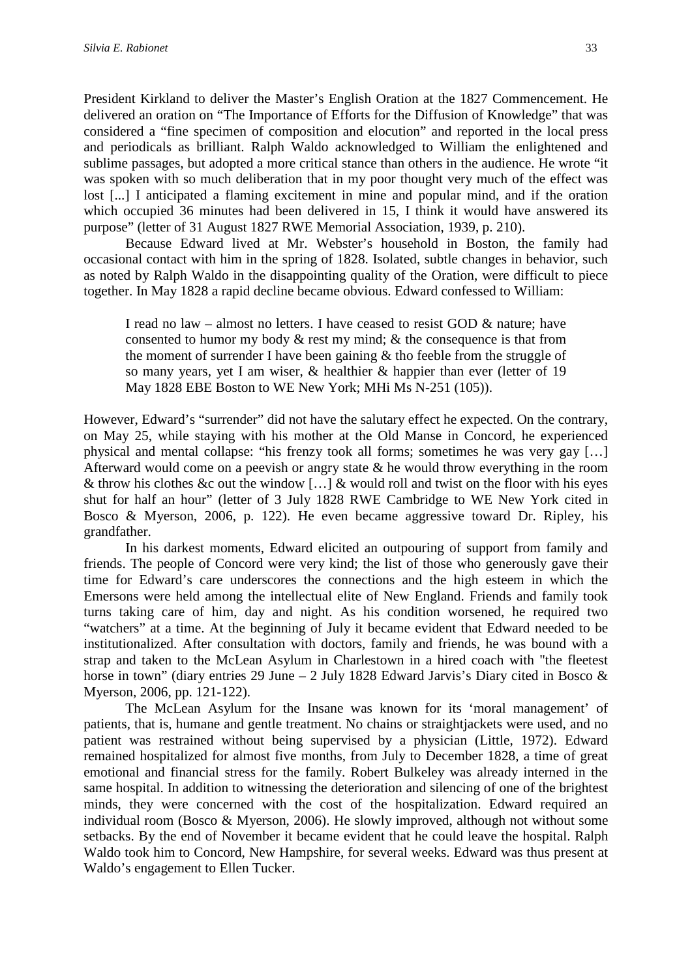President Kirkland to deliver the Master's English Oration at the 1827 Commencement. He delivered an oration on "The Importance of Efforts for the Diffusion of Knowledge" that was considered a "fine specimen of composition and elocution" and reported in the local press and periodicals as brilliant. Ralph Waldo acknowledged to William the enlightened and sublime passages, but adopted a more critical stance than others in the audience. He wrote "it was spoken with so much deliberation that in my poor thought very much of the effect was lost [...] I anticipated a flaming excitement in mine and popular mind, and if the oration which occupied 36 minutes had been delivered in 15, I think it would have answered its purpose" (letter of 31 August 1827 RWE Memorial Association, 1939, p. 210).

Because Edward lived at Mr. Webster's household in Boston, the family had occasional contact with him in the spring of 1828. Isolated, subtle changes in behavior, such as noted by Ralph Waldo in the disappointing quality of the Oration, were difficult to piece together. In May 1828 a rapid decline became obvious. Edward confessed to William:

I read no law – almost no letters. I have ceased to resist GOD  $\&$  nature; have consented to humor my body & rest my mind; & the consequence is that from the moment of surrender I have been gaining & tho feeble from the struggle of so many years, yet I am wiser, & healthier & happier than ever (letter of 19 May 1828 EBE Boston to WE New York; MHi Ms N-251 (105)).

However, Edward's "surrender" did not have the salutary effect he expected. On the contrary, on May 25, while staying with his mother at the Old Manse in Concord, he experienced physical and mental collapse: "his frenzy took all forms; sometimes he was very gay […] Afterward would come on a peevish or angry state & he would throw everything in the room & throw his clothes &c out the window [...] & would roll and twist on the floor with his eyes shut for half an hour" (letter of 3 July 1828 RWE Cambridge to WE New York cited in Bosco & Myerson, 2006, p. 122). He even became aggressive toward Dr. Ripley, his grandfather.

In his darkest moments, Edward elicited an outpouring of support from family and friends. The people of Concord were very kind; the list of those who generously gave their time for Edward's care underscores the connections and the high esteem in which the Emersons were held among the intellectual elite of New England. Friends and family took turns taking care of him, day and night. As his condition worsened, he required two "watchers" at a time. At the beginning of July it became evident that Edward needed to be institutionalized. After consultation with doctors, family and friends, he was bound with a strap and taken to the McLean Asylum in Charlestown in a hired coach with "the fleetest horse in town" (diary entries 29 June – 2 July 1828 Edward Jarvis's Diary cited in Bosco & Myerson, 2006, pp. 121-122).

The McLean Asylum for the Insane was known for its 'moral management' of patients, that is, humane and gentle treatment. No chains or straightjackets were used, and no patient was restrained without being supervised by a physician (Little, 1972). Edward remained hospitalized for almost five months, from July to December 1828, a time of great emotional and financial stress for the family. Robert Bulkeley was already interned in the same hospital. In addition to witnessing the deterioration and silencing of one of the brightest minds, they were concerned with the cost of the hospitalization. Edward required an individual room (Bosco & Myerson, 2006). He slowly improved, although not without some setbacks. By the end of November it became evident that he could leave the hospital. Ralph Waldo took him to Concord, New Hampshire, for several weeks. Edward was thus present at Waldo's engagement to Ellen Tucker.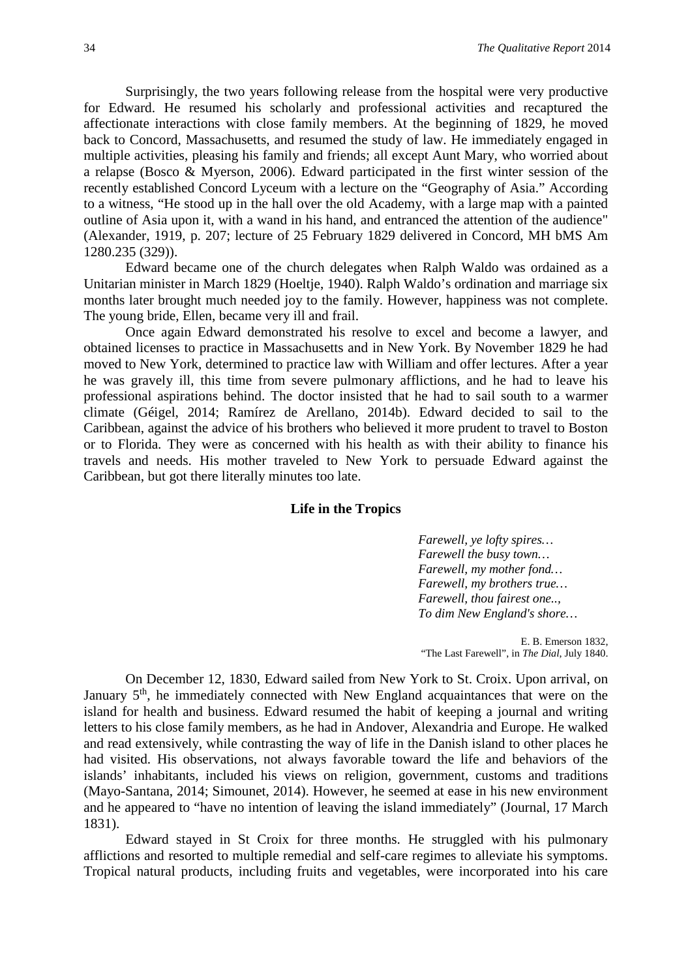Surprisingly, the two years following release from the hospital were very productive for Edward. He resumed his scholarly and professional activities and recaptured the affectionate interactions with close family members. At the beginning of 1829, he moved back to Concord, Massachusetts, and resumed the study of law. He immediately engaged in multiple activities, pleasing his family and friends; all except Aunt Mary, who worried about a relapse (Bosco & Myerson, 2006). Edward participated in the first winter session of the recently established Concord Lyceum with a lecture on the "Geography of Asia." According to a witness, "He stood up in the hall over the old Academy, with a large map with a painted outline of Asia upon it, with a wand in his hand, and entranced the attention of the audience" (Alexander, 1919, p. 207; lecture of 25 February 1829 delivered in Concord, MH bMS Am 1280.235 (329)).

Edward became one of the church delegates when Ralph Waldo was ordained as a Unitarian minister in March 1829 (Hoeltje, 1940). Ralph Waldo's ordination and marriage six months later brought much needed joy to the family. However, happiness was not complete. The young bride, Ellen, became very ill and frail.

Once again Edward demonstrated his resolve to excel and become a lawyer, and obtained licenses to practice in Massachusetts and in New York. By November 1829 he had moved to New York, determined to practice law with William and offer lectures. After a year he was gravely ill, this time from severe pulmonary afflictions, and he had to leave his professional aspirations behind. The doctor insisted that he had to sail south to a warmer climate (Géigel, 2014; Ramírez de Arellano, 2014b). Edward decided to sail to the Caribbean, against the advice of his brothers who believed it more prudent to travel to Boston or to Florida. They were as concerned with his health as with their ability to finance his travels and needs. His mother traveled to New York to persuade Edward against the Caribbean, but got there literally minutes too late.

#### **Life in the Tropics**

*Farewell, ye lofty spires… Farewell the busy town… Farewell, my mother fond… Farewell, my brothers true… Farewell, thou fairest one.., To dim New England's shore…*

E. B. Emerson 1832, "The Last Farewell", in *The Dial*, July 1840.

On December 12, 1830, Edward sailed from New York to St. Croix. Upon arrival, on January  $5<sup>th</sup>$ , he immediately connected with New England acquaintances that were on the island for health and business. Edward resumed the habit of keeping a journal and writing letters to his close family members, as he had in Andover, Alexandria and Europe. He walked and read extensively, while contrasting the way of life in the Danish island to other places he had visited. His observations, not always favorable toward the life and behaviors of the islands' inhabitants, included his views on religion, government, customs and traditions (Mayo-Santana, 2014; Simounet, 2014). However, he seemed at ease in his new environment and he appeared to "have no intention of leaving the island immediately" (Journal, 17 March 1831).

Edward stayed in St Croix for three months. He struggled with his pulmonary afflictions and resorted to multiple remedial and self-care regimes to alleviate his symptoms. Tropical natural products, including fruits and vegetables, were incorporated into his care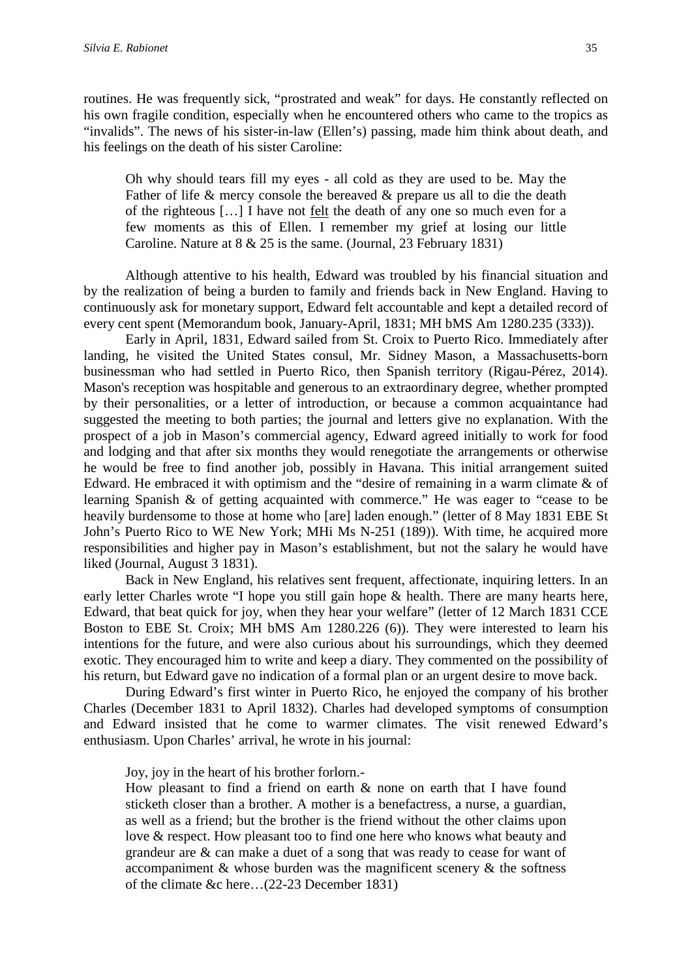routines. He was frequently sick, "prostrated and weak" for days. He constantly reflected on

his own fragile condition, especially when he encountered others who came to the tropics as "invalids". The news of his sister-in-law (Ellen's) passing, made him think about death, and his feelings on the death of his sister Caroline:

Oh why should tears fill my eyes - all cold as they are used to be. May the Father of life & mercy console the bereaved & prepare us all to die the death of the righteous […] I have not felt the death of any one so much even for a few moments as this of Ellen. I remember my grief at losing our little Caroline. Nature at 8 & 25 is the same. (Journal, 23 February 1831)

Although attentive to his health, Edward was troubled by his financial situation and by the realization of being a burden to family and friends back in New England. Having to continuously ask for monetary support, Edward felt accountable and kept a detailed record of every cent spent (Memorandum book, January-April, 1831; MH bMS Am 1280.235 (333)).

Early in April, 1831, Edward sailed from St. Croix to Puerto Rico. Immediately after landing, he visited the United States consul, Mr. Sidney Mason, a Massachusetts-born businessman who had settled in Puerto Rico, then Spanish territory (Rigau-Pérez, 2014). Mason's reception was hospitable and generous to an extraordinary degree, whether prompted by their personalities, or a letter of introduction, or because a common acquaintance had suggested the meeting to both parties; the journal and letters give no explanation. With the prospect of a job in Mason's commercial agency, Edward agreed initially to work for food and lodging and that after six months they would renegotiate the arrangements or otherwise he would be free to find another job, possibly in Havana. This initial arrangement suited Edward. He embraced it with optimism and the "desire of remaining in a warm climate & of learning Spanish & of getting acquainted with commerce." He was eager to "cease to be heavily burdensome to those at home who [are] laden enough." (letter of 8 May 1831 EBE St John's Puerto Rico to WE New York; MHi Ms N-251 (189)). With time, he acquired more responsibilities and higher pay in Mason's establishment, but not the salary he would have liked (Journal, August 3 1831).

Back in New England, his relatives sent frequent, affectionate, inquiring letters. In an early letter Charles wrote "I hope you still gain hope & health. There are many hearts here, Edward, that beat quick for joy, when they hear your welfare" (letter of 12 March 1831 CCE Boston to EBE St. Croix; MH bMS Am 1280.226 (6)). They were interested to learn his intentions for the future, and were also curious about his surroundings, which they deemed exotic. They encouraged him to write and keep a diary. They commented on the possibility of his return, but Edward gave no indication of a formal plan or an urgent desire to move back.

During Edward's first winter in Puerto Rico, he enjoyed the company of his brother Charles (December 1831 to April 1832). Charles had developed symptoms of consumption and Edward insisted that he come to warmer climates. The visit renewed Edward's enthusiasm. Upon Charles' arrival, he wrote in his journal:

Joy, joy in the heart of his brother forlorn.-

How pleasant to find a friend on earth & none on earth that I have found sticketh closer than a brother. A mother is a benefactress, a nurse, a guardian, as well as a friend; but the brother is the friend without the other claims upon love & respect. How pleasant too to find one here who knows what beauty and grandeur are & can make a duet of a song that was ready to cease for want of accompaniment & whose burden was the magnificent scenery & the softness of the climate &c here…(22-23 December 1831)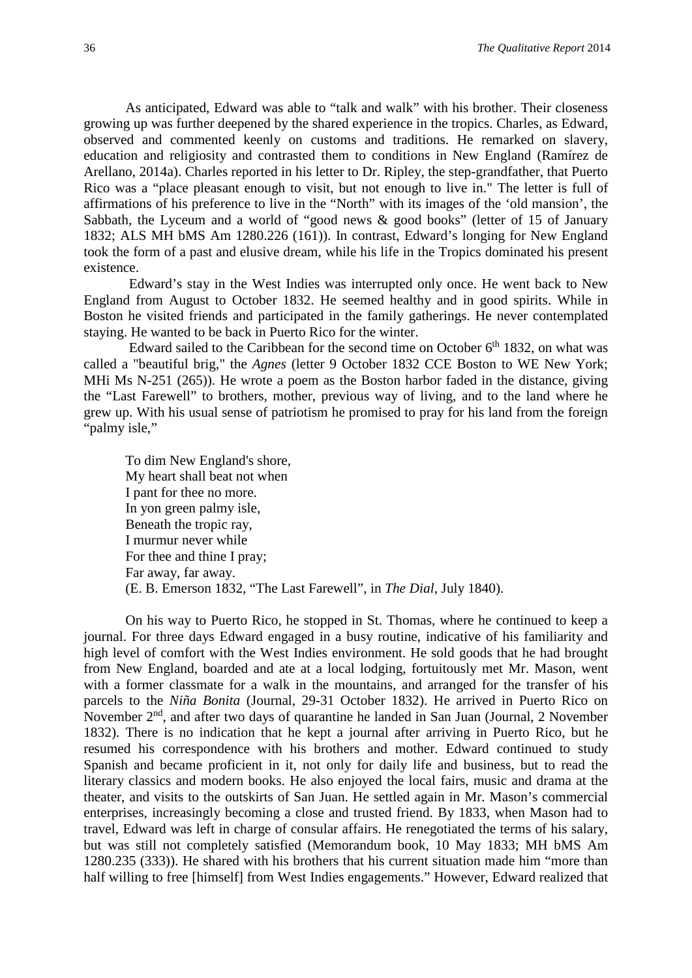As anticipated, Edward was able to "talk and walk" with his brother. Their closeness growing up was further deepened by the shared experience in the tropics. Charles, as Edward, observed and commented keenly on customs and traditions. He remarked on slavery, education and religiosity and contrasted them to conditions in New England (Ramírez de Arellano, 2014a). Charles reported in his letter to Dr. Ripley, the step-grandfather, that Puerto Rico was a "place pleasant enough to visit, but not enough to live in." The letter is full of affirmations of his preference to live in the "North" with its images of the 'old mansion', the Sabbath, the Lyceum and a world of "good news & good books" (letter of 15 of January 1832; ALS MH bMS Am 1280.226 (161)). In contrast, Edward's longing for New England took the form of a past and elusive dream, while his life in the Tropics dominated his present existence.

Edward's stay in the West Indies was interrupted only once. He went back to New England from August to October 1832. He seemed healthy and in good spirits. While in Boston he visited friends and participated in the family gatherings. He never contemplated staying. He wanted to be back in Puerto Rico for the winter.

Edward sailed to the Caribbean for the second time on October  $6<sup>th</sup>$  1832, on what was called a "beautiful brig," the *Agnes* (letter 9 October 1832 CCE Boston to WE New York; MHi Ms N-251 (265)). He wrote a poem as the Boston harbor faded in the distance, giving the "Last Farewell" to brothers, mother, previous way of living, and to the land where he grew up. With his usual sense of patriotism he promised to pray for his land from the foreign "palmy isle,"

To dim New England's shore, My heart shall beat not when I pant for thee no more. In yon green palmy isle, Beneath the tropic ray, I murmur never while For thee and thine I pray; Far away, far away. (E. B. Emerson 1832, "The Last Farewell", in *The Dial*, July 1840).

On his way to Puerto Rico, he stopped in St. Thomas, where he continued to keep a journal. For three days Edward engaged in a busy routine, indicative of his familiarity and high level of comfort with the West Indies environment. He sold goods that he had brought from New England, boarded and ate at a local lodging, fortuitously met Mr. Mason, went with a former classmate for a walk in the mountains, and arranged for the transfer of his parcels to the *Niña Bonita* (Journal, 29-31 October 1832). He arrived in Puerto Rico on November  $2<sup>nd</sup>$ , and after two days of quarantine he landed in San Juan (Journal, 2 November 1832). There is no indication that he kept a journal after arriving in Puerto Rico, but he resumed his correspondence with his brothers and mother. Edward continued to study Spanish and became proficient in it, not only for daily life and business, but to read the literary classics and modern books. He also enjoyed the local fairs, music and drama at the theater, and visits to the outskirts of San Juan. He settled again in Mr. Mason's commercial enterprises, increasingly becoming a close and trusted friend. By 1833, when Mason had to travel, Edward was left in charge of consular affairs. He renegotiated the terms of his salary, but was still not completely satisfied (Memorandum book, 10 May 1833; MH bMS Am 1280.235 (333)). He shared with his brothers that his current situation made him "more than half willing to free [himself] from West Indies engagements." However, Edward realized that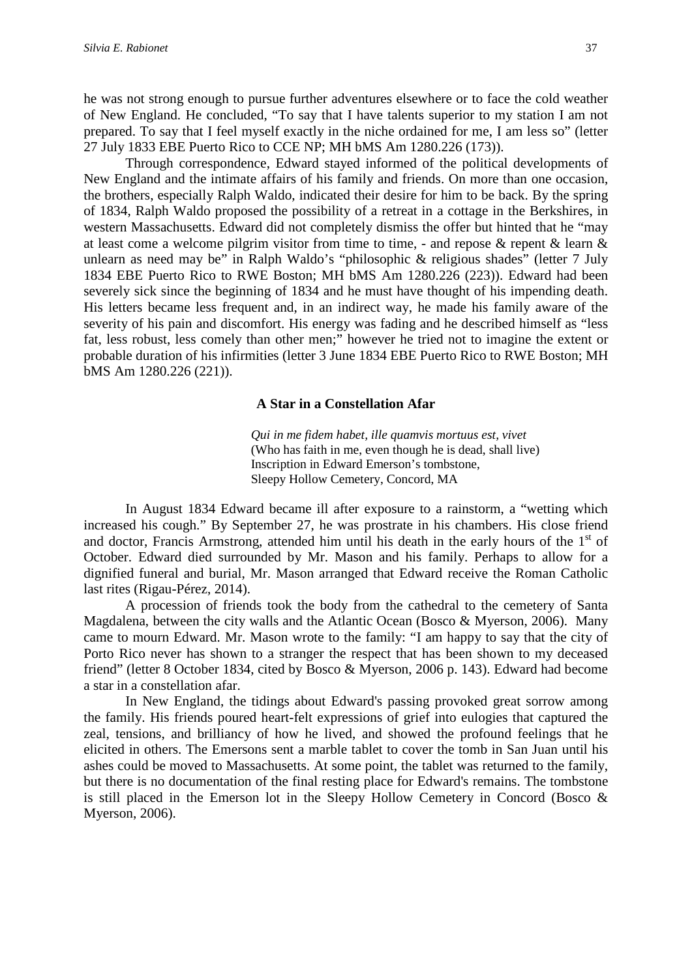he was not strong enough to pursue further adventures elsewhere or to face the cold weather of New England. He concluded, "To say that I have talents superior to my station I am not prepared. To say that I feel myself exactly in the niche ordained for me, I am less so" (letter 27 July 1833 EBE Puerto Rico to CCE NP; MH bMS Am 1280.226 (173)).

Through correspondence, Edward stayed informed of the political developments of New England and the intimate affairs of his family and friends. On more than one occasion, the brothers, especially Ralph Waldo, indicated their desire for him to be back. By the spring of 1834, Ralph Waldo proposed the possibility of a retreat in a cottage in the Berkshires, in western Massachusetts. Edward did not completely dismiss the offer but hinted that he "may at least come a welcome pilgrim visitor from time to time, - and repose & repent & learn & unlearn as need may be" in Ralph Waldo's "philosophic & religious shades" (letter 7 July 1834 EBE Puerto Rico to RWE Boston; MH bMS Am 1280.226 (223)). Edward had been severely sick since the beginning of 1834 and he must have thought of his impending death. His letters became less frequent and, in an indirect way, he made his family aware of the severity of his pain and discomfort. His energy was fading and he described himself as "less fat, less robust, less comely than other men;" however he tried not to imagine the extent or probable duration of his infirmities (letter 3 June 1834 EBE Puerto Rico to RWE Boston; MH bMS Am 1280.226 (221)).

#### **A Star in a Constellation Afar**

*Qui in me fidem habet, ille quamvis mortuus est, vivet* (Who has faith in me, even though he is dead, shall live) Inscription in Edward Emerson's tombstone, Sleepy Hollow Cemetery, Concord, MA

In August 1834 Edward became ill after exposure to a rainstorm, a "wetting which increased his cough." By September 27, he was prostrate in his chambers. His close friend and doctor, Francis Armstrong, attended him until his death in the early hours of the 1st of October. Edward died surrounded by Mr. Mason and his family. Perhaps to allow for a dignified funeral and burial, Mr. Mason arranged that Edward receive the Roman Catholic last rites (Rigau-Pérez, 2014).

A procession of friends took the body from the cathedral to the cemetery of Santa Magdalena, between the city walls and the Atlantic Ocean (Bosco & Myerson, 2006). Many came to mourn Edward. Mr. Mason wrote to the family: "I am happy to say that the city of Porto Rico never has shown to a stranger the respect that has been shown to my deceased friend" (letter 8 October 1834, cited by Bosco & Myerson, 2006 p. 143). Edward had become a star in a constellation afar.

In New England, the tidings about Edward's passing provoked great sorrow among the family. His friends poured heart-felt expressions of grief into eulogies that captured the zeal, tensions, and brilliancy of how he lived, and showed the profound feelings that he elicited in others. The Emersons sent a marble tablet to cover the tomb in San Juan until his ashes could be moved to Massachusetts. At some point, the tablet was returned to the family, but there is no documentation of the final resting place for Edward's remains. The tombstone is still placed in the Emerson lot in the Sleepy Hollow Cemetery in Concord (Bosco & Myerson, 2006).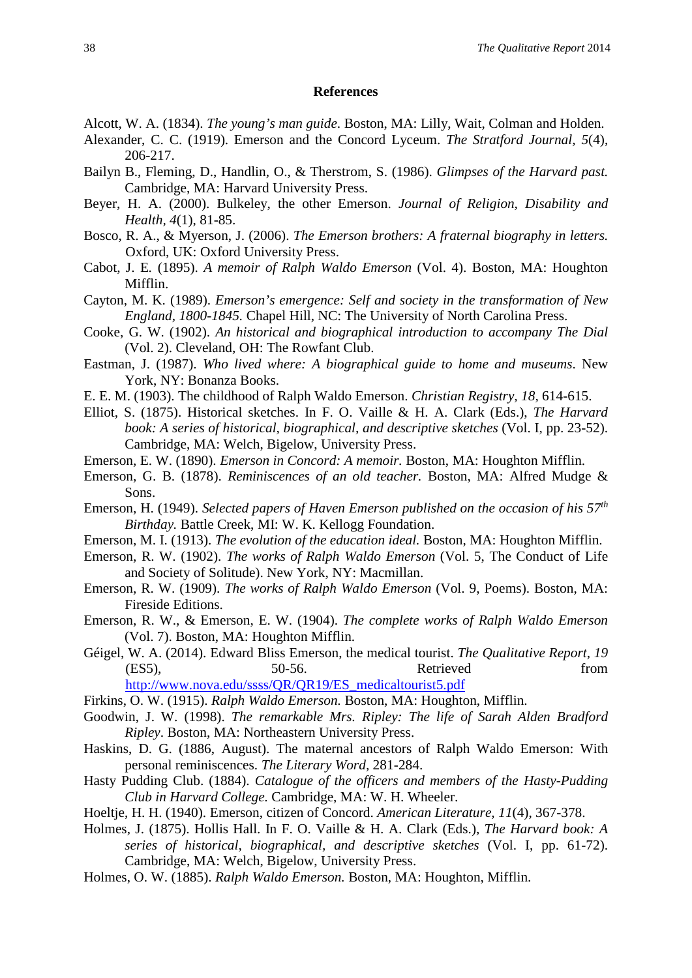#### **References**

- Alcott, W. A. (1834). *The young's man guide*. Boston, MA: Lilly, Wait, Colman and Holden.
- Alexander, C. C. (1919). Emerson and the Concord Lyceum. *The Stratford Journal, 5*(4), 206-217.
- Bailyn B., Fleming, D., Handlin, O., & Therstrom, S. (1986). *Glimpses of the Harvard past.*  Cambridge, MA: Harvard University Press.
- Beyer, H. A. (2000). Bulkeley, the other Emerson. *Journal of Religion, Disability and Health, 4*(1), 81-85.
- Bosco, R. A., & Myerson, J. (2006). *The Emerson brothers: A fraternal biography in letters.*  Oxford, UK: Oxford University Press.
- Cabot, J. E*.* (1895). *A memoir of Ralph Waldo Emerson* (Vol. 4). Boston, MA: Houghton Mifflin.
- Cayton, M. K. (1989). *Emerson's emergence: Self and society in the transformation of New England, 1800-1845.* Chapel Hill, NC: The University of North Carolina Press.
- Cooke, G. W. (1902). *An historical and biographical introduction to accompany The Dial* (Vol. 2). Cleveland, OH: The Rowfant Club.
- Eastman, J. (1987). *Who lived where: A biographical guide to home and museums*. New York, NY: Bonanza Books.
- E. E. M. (1903). The childhood of Ralph Waldo Emerson. *Christian Registry, 18,* 614-615.
- Elliot, S. (1875). Historical sketches. In F. O. Vaille & H. A. Clark (Eds.), *The Harvard book: A series of historical, biographical, and descriptive sketches (Vol. I, pp. 23-52).* Cambridge, MA: Welch, Bigelow, University Press.
- Emerson, E. W. (1890). *Emerson in Concord: A memoir.* Boston, MA: Houghton Mifflin.
- Emerson, G. B. (1878). *Reminiscences of an old teacher.* Boston, MA: Alfred Mudge & Sons.
- Emerson, H. (1949). *Selected papers of Haven Emerson published on the occasion of his 57th Birthday.* Battle Creek, MI: W. K. Kellogg Foundation.
- Emerson, M. I. (1913). *The evolution of the education ideal.* Boston, MA: Houghton Mifflin.
- Emerson, R. W. (1902). *The works of Ralph Waldo Emerson* (Vol. 5, The Conduct of Life and Society of Solitude). New York, NY: Macmillan.
- Emerson, R. W. (1909). *The works of Ralph Waldo Emerson* (Vol. 9, Poems). Boston, MA: Fireside Editions.
- Emerson, R. W., & Emerson, E. W. (1904). *The complete works of Ralph Waldo Emerson*  (Vol. 7). Boston, MA: Houghton Mifflin.
- Géigel, W. A. (2014). Edward Bliss Emerson, the medical tourist. *The Qualitative Report*, *19* (ES5), 50-56. Retrieved from [http://www.nova.edu/ssss/QR/QR19/ES\\_medicaltourist5.pdf](http://www.nova.edu/ssss/QR/QR19/ES_medicaltourist5.pdf)
- Firkins, O. W. (1915). *Ralph Waldo Emerson.* Boston, MA: Houghton, Mifflin.
- Goodwin, J. W. (1998). *The remarkable Mrs. Ripley: The life of Sarah Alden Bradford Ripley*. Boston, MA: Northeastern University Press.
- Haskins, D. G. (1886, August). The maternal ancestors of Ralph Waldo Emerson: With personal reminiscences. *The Literary Word,* 281-284.
- Hasty Pudding Club. (1884). *Catalogue of the officers and members of the Hasty-Pudding Club in Harvard College.* Cambridge, MA: W. H. Wheeler.
- Hoeltje, H. H. (1940). Emerson, citizen of Concord. *American Literature, 11*(4), 367-378.
- Holmes, J. (1875). Hollis Hall. In F. O. Vaille & H. A. Clark (Eds.), *The Harvard book: A series of historical, biographical, and descriptive sketches* (Vol. I, pp. 61-72). Cambridge, MA: Welch, Bigelow, University Press.
- Holmes, O. W. (1885). *Ralph Waldo Emerson.* Boston, MA: Houghton, Mifflin.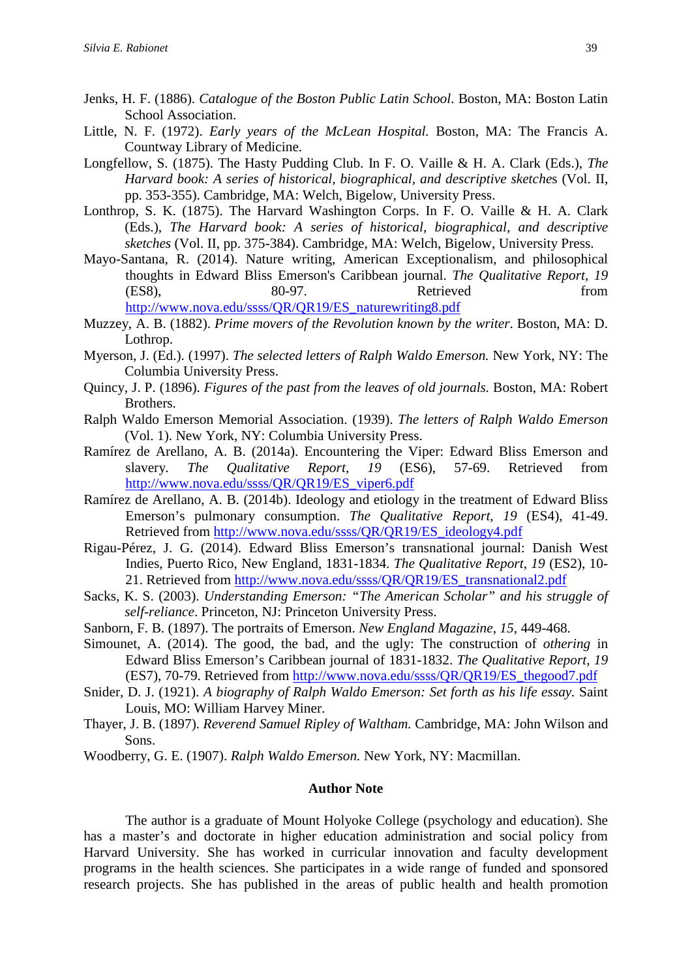- Jenks, H. F. (1886). *Catalogue of the Boston Public Latin School*. Boston, MA: Boston Latin School Association.
- Little, N. F. (1972). *Early years of the McLean Hospital.* Boston, MA: The Francis A. Countway Library of Medicine.
- Longfellow, S. (1875). The Hasty Pudding Club. In F. O. Vaille & H. A. Clark (Eds.), *The Harvard book: A series of historical, biographical, and descriptive sketche*s (Vol. II, pp. 353-355). Cambridge, MA: Welch, Bigelow, University Press.
- Lonthrop, S. K. (1875). The Harvard Washington Corps. In F. O. Vaille & H. A. Clark (Eds.), *The Harvard book: A series of historical, biographical, and descriptive sketches* (Vol. II, pp. 375-384). Cambridge, MA: Welch, Bigelow, University Press.
- Mayo-Santana, R. (2014). Nature writing, American Exceptionalism, and philosophical thoughts in Edward Bliss Emerson's Caribbean journal. *The Qualitative Report, 19* (ES8), 80-97. Retrieved from [http://www.nova.edu/ssss/QR/QR19/ES\\_naturewriting8.pdf](http://www.nova.edu/ssss/QR/QR19/ES_naturewriting8.pdf)
- Muzzey, A. B. (1882). *Prime movers of the Revolution known by the writer*. Boston, MA: D. Lothrop.
- Myerson, J. (Ed.). (1997). *The selected letters of Ralph Waldo Emerson.* New York, NY: The Columbia University Press.
- Quincy, J. P. (1896). *Figures of the past from the leaves of old journals.* Boston, MA: Robert Brothers.
- Ralph Waldo Emerson Memorial Association. (1939). *The letters of Ralph Waldo Emerson*  (Vol. 1). New York, NY: Columbia University Press.
- Ramírez de Arellano, A. B. (2014a). Encountering the Viper: Edward Bliss Emerson and slavery*. The Qualitative Report, 19* (ES6), 57-69. Retrieved from [http://www.nova.edu/ssss/QR/QR19/ES\\_viper6.pdf](http://www.nova.edu/ssss/QR/QR19/ES_viper6.pdf)
- Ramírez de Arellano, A. B. (2014b). Ideology and etiology in the treatment of Edward Bliss Emerson's pulmonary consumption. *The Qualitative Report, 19* (ES4), 41-49. Retrieved from [http://www.nova.edu/ssss/QR/QR19/ES\\_ideology4.pdf](http://www.nova.edu/ssss/QR/QR19/ES_ideology4.pdf)
- Rigau-Pérez, J. G. (2014). Edward Bliss Emerson's transnational journal: Danish West Indies, Puerto Rico, New England, 1831-1834. *The Qualitative Report*, *19* (ES2), 10- 21. Retrieved from [http://www.nova.edu/ssss/QR/QR19/ES\\_transnational2.pdf](http://www.nova.edu/ssss/QR/QR19/ES_transnational2.pdf)
- Sacks, K. S. (2003). *Understanding Emerson: "The American Scholar" and his struggle of self-reliance*. Princeton, NJ: Princeton University Press.
- Sanborn, F. B. (1897). The portraits of Emerson. *New England Magazine, 15,* 449-468.
- Simounet, A. (2014). The good, the bad, and the ugly: The construction of *othering* in Edward Bliss Emerson's Caribbean journal of 1831-1832. *The Qualitative Report, 19* (ES7), 70-79. Retrieved from [http://www.nova.edu/ssss/QR/QR19/ES\\_thegood7.pdf](http://www.nova.edu/ssss/QR/QR19/ES_thegood7.pdf)
- Snider, D. J. (1921). *A biography of Ralph Waldo Emerson: Set forth as his life essay.* Saint Louis, MO: William Harvey Miner.
- Thayer, J. B. (1897). *Reverend Samuel Ripley of Waltham.* Cambridge, MA: John Wilson and Sons.
- Woodberry, G. E. (1907). *Ralph Waldo Emerson.* New York, NY: Macmillan.

#### **Author Note**

The author is a graduate of Mount Holyoke College (psychology and education). She has a master's and doctorate in higher education administration and social policy from Harvard University. She has worked in curricular innovation and faculty development programs in the health sciences. She participates in a wide range of funded and sponsored research projects. She has published in the areas of public health and health promotion